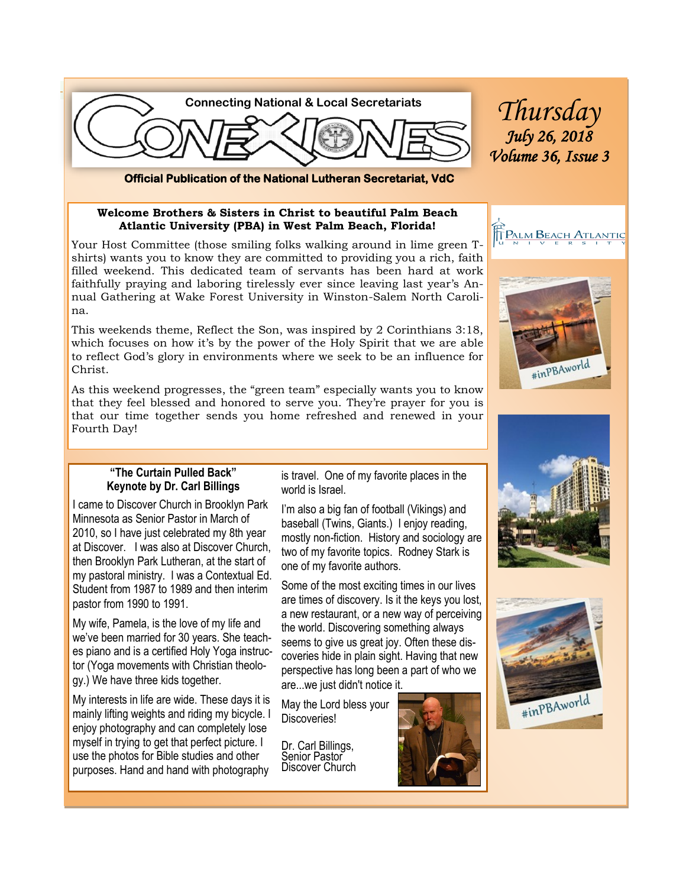

**Official Publication of the National Lutheran Secretariat, VdC** 

#### **Welcome Brothers & Sisters in Christ to beautiful Palm Beach Atlantic University (PBA) in West Palm Beach, Florida!**

Your Host Committee (those smiling folks walking around in lime green Tshirts) wants you to know they are committed to providing you a rich, faith filled weekend. This dedicated team of servants has been hard at work faithfully praying and laboring tirelessly ever since leaving last year's Annual Gathering at Wake Forest University in Winston-Salem North Carolina.

This weekends theme, Reflect the Son, was inspired by 2 Corinthians 3:18, which focuses on how it's by the power of the Holy Spirit that we are able to reflect God's glory in environments where we seek to be an influence for Christ.

As this weekend progresses, the "green team" especially wants you to know that they feel blessed and honored to serve you. They're prayer for you is that our time together sends you home refreshed and renewed in your Fourth Day!

#### **"The Curtain Pulled Back" Keynote by Dr. Carl Billings**

I came to Discover Church in Brooklyn Park Minnesota as Senior Pastor in March of 2010, so I have just celebrated my 8th year at Discover. I was also at Discover Church, then Brooklyn Park Lutheran, at the start of my pastoral ministry. I was a Contextual Ed. Student from 1987 to 1989 and then interim pastor from 1990 to 1991.

My wife, Pamela, is the love of my life and we've been married for 30 years. She teaches piano and is a certified Holy Yoga instructor (Yoga movements with Christian theology.) We have three kids together.

My interests in life are wide. These days it is mainly lifting weights and riding my bicycle. I enjoy photography and can completely lose myself in trying to get that perfect picture. I use the photos for Bible studies and other purposes. Hand and hand with photography

is travel. One of my favorite places in the world is Israel.

I'm also a big fan of football (Vikings) and baseball (Twins, Giants.) I enjoy reading, mostly non-fiction. History and sociology are two of my favorite topics. Rodney Stark is one of my favorite authors.

Some of the most exciting times in our lives are times of discovery. Is it the keys you lost, a new restaurant, or a new way of perceiving the world. Discovering something always seems to give us great joy. Often these discoveries hide in plain sight. Having that new perspective has long been a part of who we are...we just didn't notice it.

May the Lord bless your Discoveries!

Dr. Carl Billings, Senior Pastor Discover Church









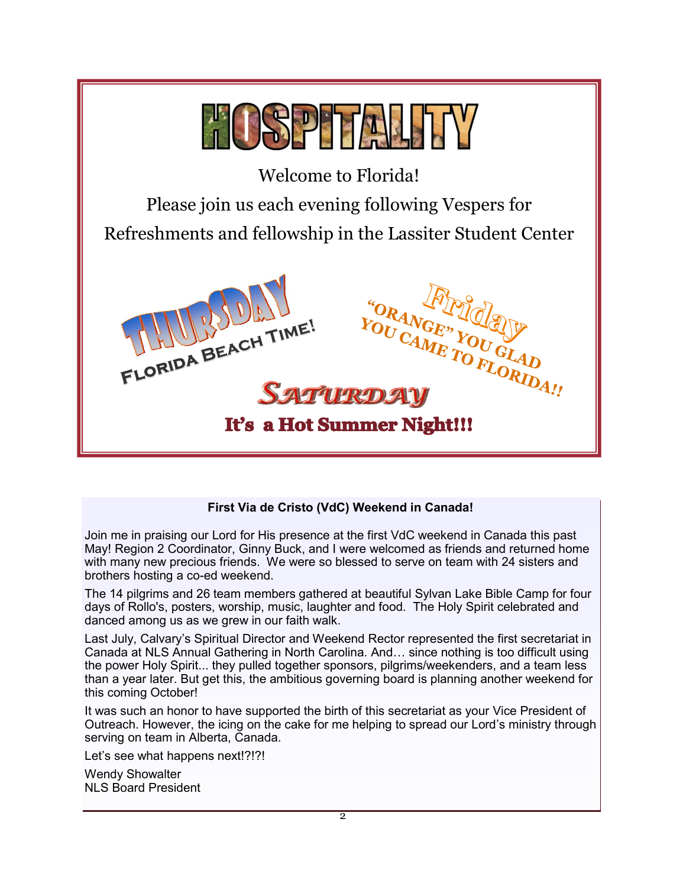

## **First Via de Cristo (VdC) Weekend in Canada!**

Join me in praising our Lord for His presence at the first VdC weekend in Canada this past May! Region 2 Coordinator, Ginny Buck, and I were welcomed as friends and returned home with many new precious friends. We were so blessed to serve on team with 24 sisters and brothers hosting a co-ed weekend.

The 14 pilgrims and 26 team members gathered at beautiful Sylvan Lake Bible Camp for four days of Rollo's, posters, worship, music, laughter and food. The Holy Spirit celebrated and danced among us as we grew in our faith walk.

Last July, Calvary's Spiritual Director and Weekend Rector represented the first secretariat in Canada at NLS Annual Gathering in North Carolina. And… since nothing is too difficult using the power Holy Spirit... they pulled together sponsors, pilgrims/weekenders, and a team less than a year later. But get this, the ambitious governing board is planning another weekend for this coming October!

It was such an honor to have supported the birth of this secretariat as your Vice President of Outreach. However, the icing on the cake for me helping to spread our Lord's ministry through serving on team in Alberta, Canada.

Let's see what happens next!?!?!

Wendy Showalter NLS Board President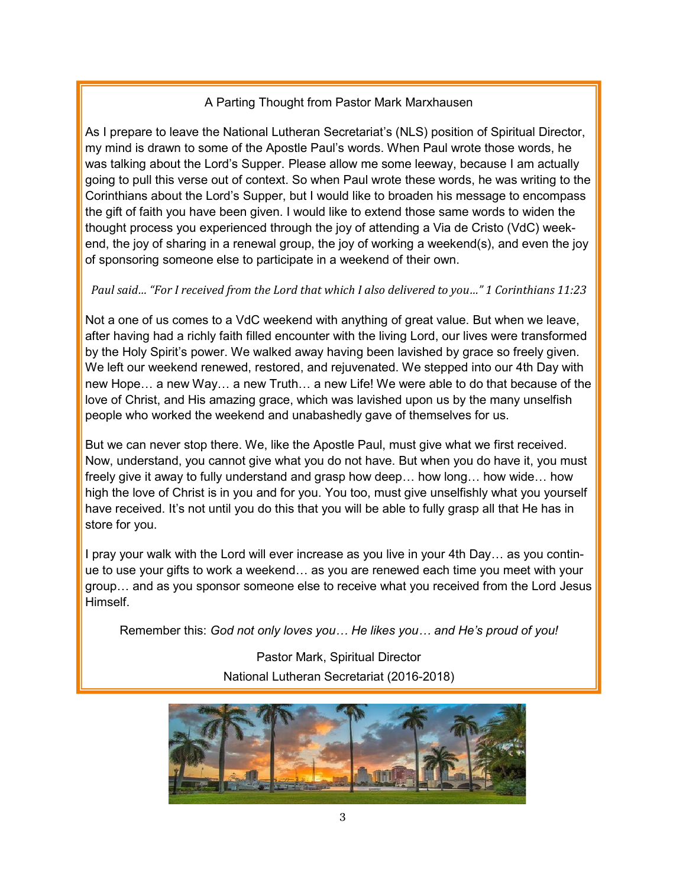## A Parting Thought from Pastor Mark Marxhausen

As I prepare to leave the National Lutheran Secretariat's (NLS) position of Spiritual Director, my mind is drawn to some of the Apostle Paul's words. When Paul wrote those words, he was talking about the Lord's Supper. Please allow me some leeway, because I am actually going to pull this verse out of context. So when Paul wrote these words, he was writing to the Corinthians about the Lord's Supper, but I would like to broaden his message to encompass the gift of faith you have been given. I would like to extend those same words to widen the thought process you experienced through the joy of attending a Via de Cristo (VdC) weekend, the joy of sharing in a renewal group, the joy of working a weekend(s), and even the joy of sponsoring someone else to participate in a weekend of their own.

# *Paul said… "For I received from the Lord that which I also delivered to you…" 1 Corinthians 11:23*

Not a one of us comes to a VdC weekend with anything of great value. But when we leave, after having had a richly faith filled encounter with the living Lord, our lives were transformed by the Holy Spirit's power. We walked away having been lavished by grace so freely given. We left our weekend renewed, restored, and rejuvenated. We stepped into our 4th Day with new Hope… a new Way… a new Truth… a new Life! We were able to do that because of the love of Christ, and His amazing grace, which was lavished upon us by the many unselfish people who worked the weekend and unabashedly gave of themselves for us.

But we can never stop there. We, like the Apostle Paul, must give what we first received. Now, understand, you cannot give what you do not have. But when you do have it, you must freely give it away to fully understand and grasp how deep… how long… how wide… how high the love of Christ is in you and for you. You too, must give unselfishly what you yourself have received. It's not until you do this that you will be able to fully grasp all that He has in store for you.

I pray your walk with the Lord will ever increase as you live in your 4th Day… as you continue to use your gifts to work a weekend… as you are renewed each time you meet with your group… and as you sponsor someone else to receive what you received from the Lord Jesus Himself.

Remember this: *God not only loves you… He likes you… and He's proud of you!*

Pastor Mark, Spiritual Director National Lutheran Secretariat (2016-2018)